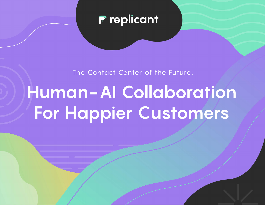

The Contact Center of the Future:

# **Human-AI Collaboration For Happier Customers**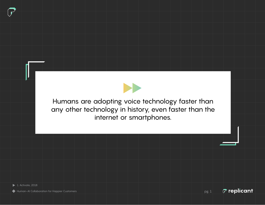

Humans are adopting voice technology faster than any other technology in history, even faster than the internet or smartphones.

Human-AI Collaboration for Happier Customers pg. 1 pg. 1

 $\bar{C}$  replicant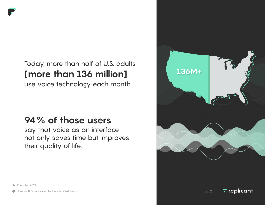

use voice technology each month.

### **94% of those users**

say that voice as an interface not only saves time but improves their quality of life.



 $\sigma$  replicant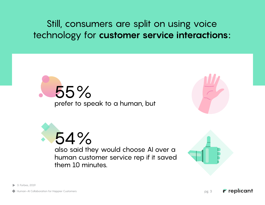Still, consumers are split on using voice technology for **customer service interactions:** 







also said they would choose AI over a human customer service rep if it saved them 10 minutes.



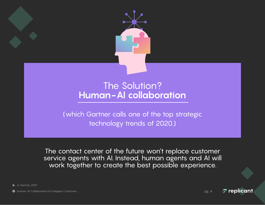

### The Solution? **Human-AI collaboration**

(which Gartner calls one of the top strategic technology trends of 2020.)

The contact center of the future won't replace customer service agents with AI. Instead, human agents and AI will work together to create the best possible experience.

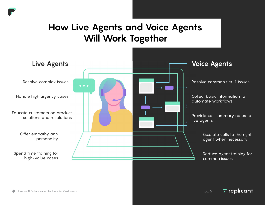### **How Live Agents and Voice Agents Will Work Together**



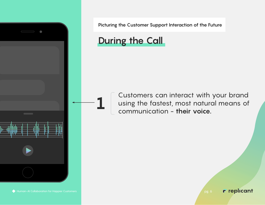

### **During the Call**

**1** Customers can interact with your brand<br>using the fastest, most natural means of<br>communication - their voice using the fastest, most natural means of communication - **their voice.**

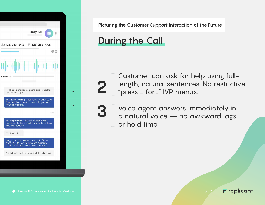

### **During the Call**

Customer can ask for help using fulllength, natural sentences. No restrictive "press 1 for..." IVR menus.

**2**

**3** Voice agent answers immediately in a natural voice — no awkward lags or hold time.

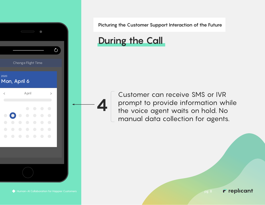

### **During the Call**

**4**

Customer can receive SMS or IVR prompt to provide information while the voice agent waits on hold. No manual data collection for agents.

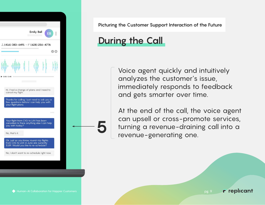

### **During the Call**

**5**

Voice agent quickly and intuitively analyzes the customer's issue, immediately responds to feedback and gets smarter over time.

At the end of the call, the voice agent can upsell or cross-promote services, turning a revenue-draining call into a revenue-generating one.

r replicant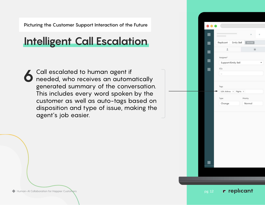## **Intelligent Call Escalation**

**6** Call escalated to human agent if needed, who receives an automatically generated summary of the conversation. This includes every word spoken by the customer as well as auto-tags based on disposition and type of issue, making the agent's job easier.

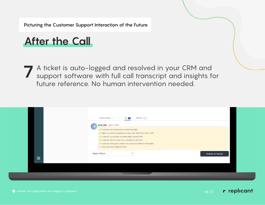### **After the Call**

**7** A ticket is auto-logged and resolved in your CRM and support software with full call transcript and insights for future reference. No human intervention needed.

| Conversations $\sim$<br>Internal $\bigcirc$<br>All 1                                                                                                                                                                                                                                                                                                                                  |                  |
|---------------------------------------------------------------------------------------------------------------------------------------------------------------------------------------------------------------------------------------------------------------------------------------------------------------------------------------------------------------------------------------|------------------|
| Emily Bell April 6, 2020<br>EB<br>✔ Customer has requested to cancel their flight<br>√ Flight is currently scheduled for May 10th, 2020 from CVG to SFO<br>✔ Customer successfully cancelled flight through VIVR<br>√ Customer did not want to re-schedule at this time<br>√ Customer will recieve credit in the amount of \$429 for their flight<br>✔ Case solved by Replicant Voice |                  |
| <b>Apply Macro</b><br>$\mathbf{v}$                                                                                                                                                                                                                                                                                                                                                    | Submit as Solved |
|                                                                                                                                                                                                                                                                                                                                                                                       |                  |

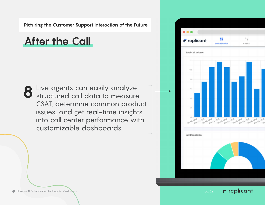### **After the Call**

**8** Live agents can easily analyze structured call data to measure CSAT, determine common product issues, and get real-time insights into call center performance with customizable dashboards. WIP



Human-AI Collaboration for Happier Customers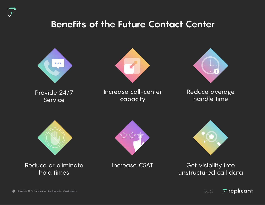### **Benefits of the Future Contact Center**

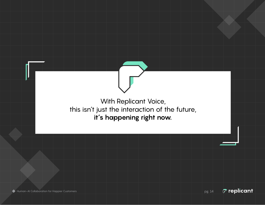

 $\sigma$  replicant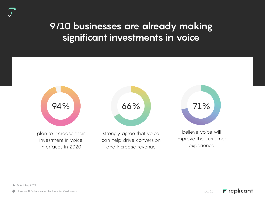### **9/10 businesses are already making significant investments in voice**

plan to increase their investment in voice interfaces in 2020



strongly agree that voice can help drive conversion and increase revenue

believe voice will improve the customer experience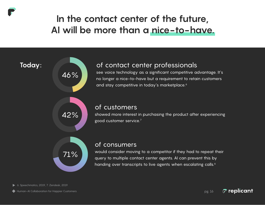### **In the contact center of the future, AI will be more than a nice-to-have.**

### **Today:**

#### of contact center professionals

see voice technology as a significant competitive advantage. It's no longer a nice-to-have but a requirement to retain customers and stay competitive in today's marketplace.<sup>6</sup>

42%

#### of customers

showed more interest in purchasing the product after experiencing good customer service.7



46%

#### of consumers

would consider moving to a competitor if they had to repeat their query to multiple contact center agents. AI can prevent this by handing over transcripts to live agents when escalating calls.<sup>6</sup>

6. Speechmatics, 2019, 7. Zendesk, 2019

Human-AI Collaboration for Happier Customers pg. 16

 $\sigma$  replicant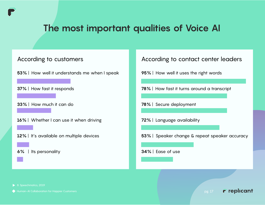### **The most important qualities of Voice AI**

- **53%** | How well it understands me when I speak
- **37%** | How fast it responds
- **33%** | How much it can do
- **16%** | Whether I can use it when driving
- **12%** | It's available on multiple devices
- **6%** | Its personality

#### According to customers **According to contact center leaders** According to contact center leaders

- **95%** | How well it uses the right words
- **78%** | How fast it turns around a transcript
- **78%** | Secure deployment
- **72%** | Language availability
- **53%** | Speaker change & repeat speaker accuracy

#### **34%** | Ease of use

- 8. Speechmatics, 2019
- 

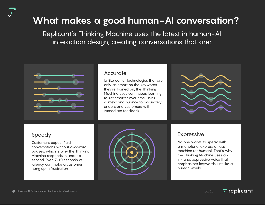## **What makes a good human-AI conversation?**

Replicant's Thinking Machine uses the latest in human-AI interaction design, creating conversations that are:



#### **Accurate**

Unlike earlier technologies that are only as smart as the keywords they're trained on, the Thinking Machine uses continuous learning to get smarter over time, using context and nuance to accurately understand customers with immediate feedback.



#### Speedy

Customers expect fluid conversations without awkward pauses, which is why the Thinking Machine responds in under a second. Even 7-10 seconds of latency can make a customer hang up in frustration.



#### Expressive

No one wants to speak with a monotone, expressionless machine (or human). That's why the Thinking Machine uses an in-tune, expressive voice that emphasizes keywords just like a human would.

 $\sigma$  replicant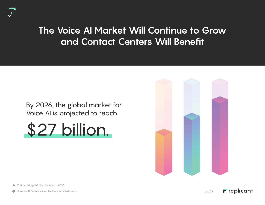### **The Voice AI Market Will Continue to Grow and Contact Centers Will Benefit**

### By 2026, the global market for Voice AI is projected to reach





9. Data Bridge Market Research, 2018

Human-AI Collaboration for Happier Customers pg. 19

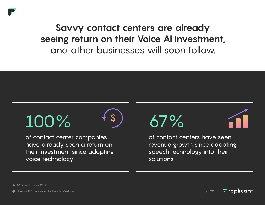

# $100\%$  (s) 67%

of contact center companies have already seen a return on their investment since adopting voice technology



of contact centers have seen revenue growth since adopting speech technology into their solutions

10. Speechmatics, 2019